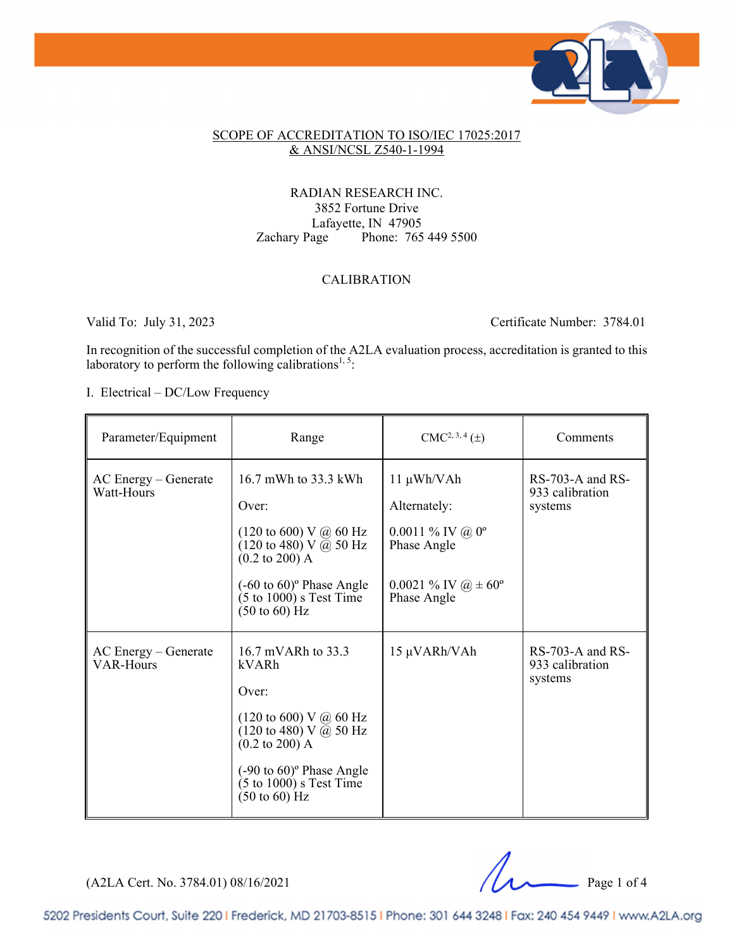

#### SCOPE OF ACCREDITATION TO ISO/IEC 17025:2017 & ANSI/NCSL Z540-1-1994

### RADIAN RESEARCH INC. 3852 Fortune Drive Lafayette, IN 47905 Zachary Page Phone: 765 449 5500

### CALIBRATION

Valid To: July 31, 2023 Certificate Number: 3784.01

In recognition of the successful completion of the A2LA evaluation process, accreditation is granted to this laboratory to perform the following calibrations<sup>1,5</sup>:

I. Electrical – DC/Low Frequency

| Parameter/Equipment                        | Range                                                                                                                                                                                                                                                                                   | $CMC2, 3, 4(\pm)$                                                                                                                  | Comments                                           |
|--------------------------------------------|-----------------------------------------------------------------------------------------------------------------------------------------------------------------------------------------------------------------------------------------------------------------------------------------|------------------------------------------------------------------------------------------------------------------------------------|----------------------------------------------------|
| $AC$ Energy – Generate<br>Watt-Hours       | 16.7 mWh to 33.3 kWh<br>Over:<br>(120 to 600) V @ 60 Hz<br>$(120 \text{ to } 480) \text{ V } \bar{Q}$ 50 Hz<br>$(0.2 \text{ to } 200)$ A<br>$(-60 \text{ to } 60)$ <sup>o</sup> Phase Angle<br>$(5 \text{ to } 1000)$ s Test Time<br>$(50 \text{ to } 60)$ Hz                           | 11 μWh/VAh<br>Alternately:<br>$0.0011\%$ IV @ 0 <sup>o</sup><br>Phase Angle<br>0.0021 % IV $\omega \neq 60^{\circ}$<br>Phase Angle | $RS-703-A$ and $RS-$<br>933 calibration<br>systems |
| $AC$ Energy – Generate<br><b>VAR-Hours</b> | 16.7 mVARh to 33.3<br>kVARh<br>Over:<br>$(120 \text{ to } 600) \text{ V}$ @ 60 Hz<br>$(120 \text{ to } 480) \text{ V } \bar{a}$ 50 Hz<br>$(0.2 \text{ to } 200)$ A<br>$(-90 \text{ to } 60)$ <sup>o</sup> Phase Angle<br>$(5 \text{ to } 1000)$ s Test Time<br>$(50 \text{ to } 60)$ Hz | 15 μVARh/VAh                                                                                                                       | $RS-703-A$ and $RS-$<br>933 calibration<br>systems |

(A2LA Cert. No. 3784.01) 08/16/2021 Page 1 of 4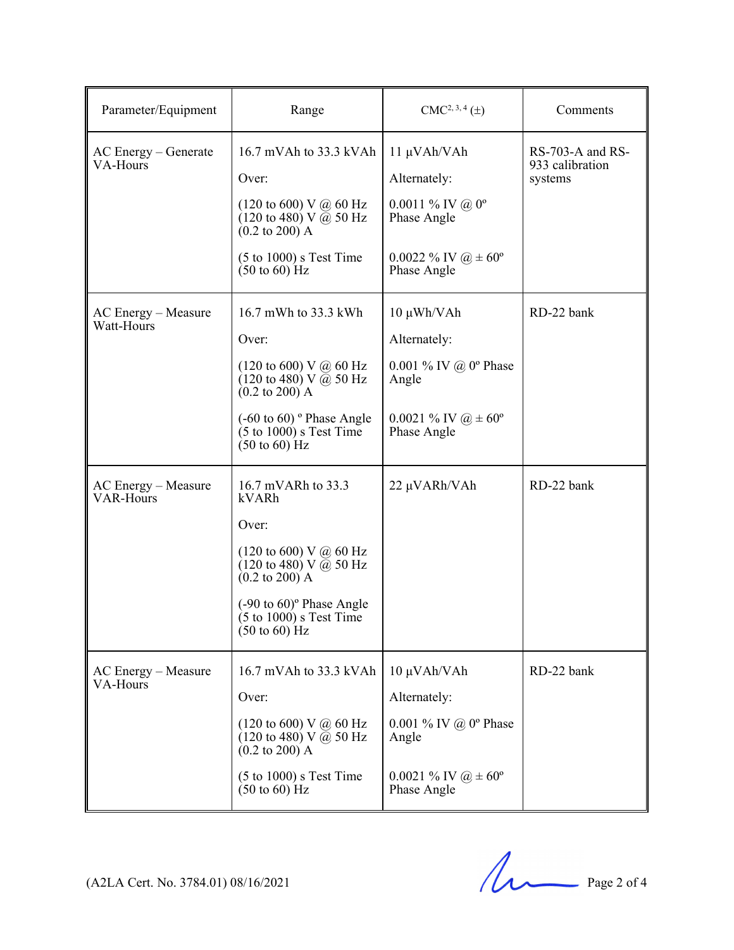| Parameter/Equipment                  | Range                                                                                                                                                                                                                                                                            | $CMC2, 3, 4(\pm)$                                                                                                                                | Comments                                       |
|--------------------------------------|----------------------------------------------------------------------------------------------------------------------------------------------------------------------------------------------------------------------------------------------------------------------------------|--------------------------------------------------------------------------------------------------------------------------------------------------|------------------------------------------------|
| $AC$ Energy $-$ Generate<br>VA-Hours | 16.7 mVAh to 33.3 kVAh<br>Over:<br>$(120 \text{ to } 600) \text{ V}$ @ 60 Hz<br>$(120 \text{ to } 480) \text{ V}$ @ 50 Hz<br>$(0.2 \text{ to } 200)$ A<br>$(5 \text{ to } 1000)$ s Test Time<br>$(50 \text{ to } 60)$ Hz                                                         | 11 μVAh/VAh<br>Alternately:<br>$0.0011\%$ IV @ 0 <sup>o</sup><br>Phase Angle<br>0.0022 % IV $\omega \neq 60^{\circ}$<br>Phase Angle              | RS-703-A and RS-<br>933 calibration<br>systems |
| AC Energy - Measure<br>Watt-Hours    | 16.7 mWh to 33.3 kWh<br>Over:<br>$(120 \text{ to } 600) \text{ V}$ @ 60 Hz<br>$(120 \text{ to } 480) \text{ V } \bar{a}$ 50 Hz<br>$(0.2 \text{ to } 200)$ A<br>$(-60 \text{ to } 60)$ ° Phase Angle<br>$(5 \text{ to } 1000)$ s Test Time<br>$(50 \text{ to } 60)$ Hz            | $10 \mu \text{Wh}/\text{V}$ Ah<br>Alternately:<br>0.001 % IV @ $0^{\circ}$ Phase<br>Angle<br>0.0021 % IV $\omega \neq 60^{\circ}$<br>Phase Angle | RD-22 bank                                     |
| AC Energy - Measure<br>VAR-Hours     | 16.7 mVARh to 33.3<br>kVARh<br>Over:<br>$(120 \text{ to } 600) \text{ V}$ @ 60 Hz<br>$(120 \text{ to } 480) \text{ V}$ @ 50 Hz<br>$(0.2 \text{ to } 200)$ A<br>$(-90 \text{ to } 60)$ <sup>o</sup> Phase Angle<br>$(5 \text{ to } 1000)$ s Test Time<br>$(50 \text{ to } 60)$ Hz | 22 μVARh/VAh                                                                                                                                     | RD-22 bank                                     |
| AC Energy - Measure<br>VA-Hours      | 16.7 mVAh to 33.3 kVAh<br>Over:<br>$(120 \text{ to } 600) \text{ V}$ @ 60 Hz<br>$(120 \text{ to } 480) \text{ V } (\bar{\omega}) 50 \text{ Hz}$<br>$(0.2 \text{ to } 200)$ A<br>$(5 \text{ to } 1000)$ s Test Time<br>$(50 \text{ to } 60)$ Hz                                   | 10 μVAh/VAh<br>Alternately:<br>0.001 % IV @ $0^{\circ}$ Phase<br>Angle<br>0.0021 % IV $\omega \neq 60^{\circ}$<br>Phase Angle                    | RD-22 bank                                     |

 $(A2LA$  Cert. No. 3784.01) 08/16/2021 Page 2 of 4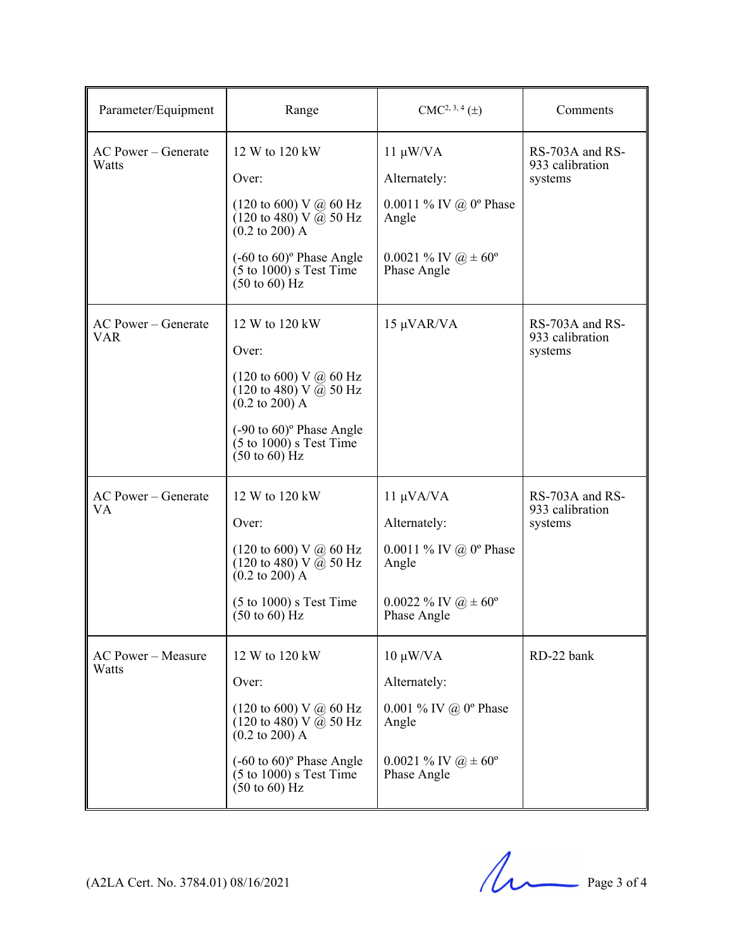| Parameter/Equipment                | Range                                                                                                                                                                                                                                                                           | $CMC2, 3, 4(\pm)$                                                                                                                   | Comments                                      |
|------------------------------------|---------------------------------------------------------------------------------------------------------------------------------------------------------------------------------------------------------------------------------------------------------------------------------|-------------------------------------------------------------------------------------------------------------------------------------|-----------------------------------------------|
| AC Power - Generate<br>Watts       | 12 W to 120 kW<br>Over:<br>$(120 \text{ to } 600) \text{ V}$ @ 60 Hz<br>$(120 \text{ to } 480) \text{ V } @ 50 \text{ Hz}$<br>$(0.2 \text{ to } 200)$ A<br>$(-60 \text{ to } 60)$ <sup>o</sup> Phase Angle<br>$(5 \text{ to } 1000)$ s Test Time<br>$(50 \text{ to } 60)$ Hz    | $11 \mu W/VA$<br>Alternately:<br>0.0011 % IV @ $0^{\circ}$ Phase<br>Angle<br>$0.0021 \%$ IV $\omega \pm 60^{\circ}$<br>Phase Angle  | RS-703A and RS-<br>933 calibration<br>systems |
| AC Power – Generate<br><b>VAR</b>  | 12 W to 120 kW<br>Over:<br>$(120 \text{ to } 600) \text{ V}$ @ 60 Hz<br>$(120 \text{ to } 480) \text{ V } \bar{a}$ 50 Hz<br>$(0.2 \text{ to } 200)$ A<br>$(-90 \text{ to } 60)$ <sup>o</sup> Phase Angle<br>$(5 \text{ to } 1000)$ s Test Time<br>$(50 \text{ to } 60)$ Hz      | 15 μVAR/VA                                                                                                                          | RS-703A and RS-<br>933 calibration<br>systems |
| AC Power – Generate<br>VA.         | 12 W to 120 kW<br>Over:<br>$(120 \text{ to } 600) \text{ V}$ @ 60 Hz<br>$(120 \text{ to } 480) \text{ V } \bar{a}$ 50 Hz<br>$(0.2 \text{ to } 200)$ A<br>$(5 \text{ to } 1000)$ s Test Time<br>$(50 \text{ to } 60)$ Hz                                                         | $11 \mu VA/VA$<br>Alternately:<br>0.0011 % IV @ $0^{\circ}$ Phase<br>Angle<br>$0.0022 \%$ IV $\omega \pm 60^{\circ}$<br>Phase Angle | RS-703A and RS-<br>933 calibration<br>systems |
| <b>AC Power - Measure</b><br>Watts | 12 W to 120 kW<br>Over:<br>$(120 \text{ to } 600) \text{ V}$ @ 60 Hz<br>$(120 \text{ to } 480) \text{ V } \overline{a}$ 50 Hz<br>$(0.2 \text{ to } 200)$ A<br>$(-60 \text{ to } 60)$ <sup>o</sup> Phase Angle<br>$(5 \text{ to } 1000)$ s Test Time<br>$(50 \text{ to } 60)$ Hz | $10 \mu W/VA$<br>Alternately:<br>0.001 % IV @ $0^{\circ}$ Phase<br>Angle<br>$0.0021 \%$ IV $\omega \pm 60^{\circ}$<br>Phase Angle   | RD-22 bank                                    |

 $(A2LA$  Cert. No. 3784.01) 08/16/2021 Page 3 of 4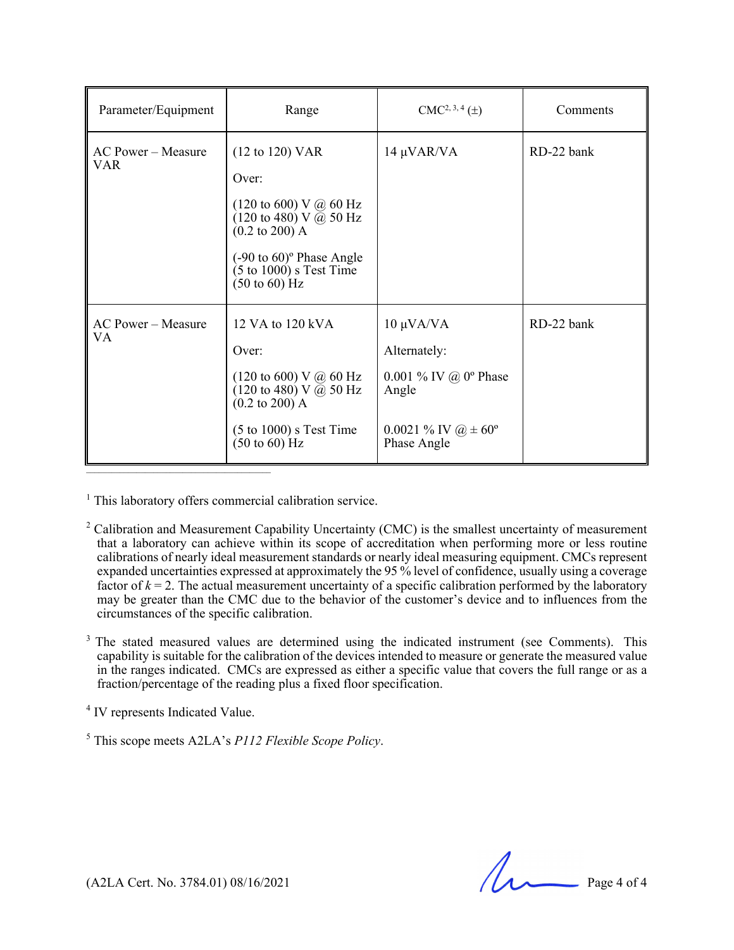| Parameter/Equipment              | Range                                                                                                                                                                                                                                                                                                    | $CMC2, 3, 4(\pm)$                                                                                                                | Comments   |
|----------------------------------|----------------------------------------------------------------------------------------------------------------------------------------------------------------------------------------------------------------------------------------------------------------------------------------------------------|----------------------------------------------------------------------------------------------------------------------------------|------------|
| AC Power – Measure<br><b>VAR</b> | $(12 \text{ to } 120) \text{ VAR}$<br>Over:<br>$(120 \text{ to } 600) \text{ V}$ @ 60 Hz<br>$(120 \text{ to } 480) \text{ V } (\bar{a}) 50 \text{ Hz}$<br>$(0.2 \text{ to } 200)$ A<br>$(-90 \text{ to } 60)$ <sup>o</sup> Phase Angle<br>$(5 \text{ to } 1000)$ s Test Time<br>$(50 \text{ to } 60)$ Hz | $14 \mu \text{VAR}/\text{VA}$                                                                                                    | RD-22 bank |
| $AC Power - Measure$<br>VA.      | 12 VA to 120 kVA<br>Over:<br>$(120 \text{ to } 600) \text{ V}$ @ 60 Hz<br>$(120 \text{ to } 480) \text{ V } \bar{a}$ 50 Hz<br>$(0.2 \text{ to } 200)$ A<br>$(5 \text{ to } 1000)$ s Test Time<br>$(50 \text{ to } 60)$ Hz                                                                                | $10 \mu VA/VA$<br>Alternately:<br>0.001 % IV @ $0^{\circ}$ Phase<br>Angle<br>0.0021 % IV $\omega \neq 60^{\circ}$<br>Phase Angle | RD-22 bank |

<sup>1</sup> This laboratory offers commercial calibration service.

- $2^2$  Calibration and Measurement Capability Uncertainty (CMC) is the smallest uncertainty of measurement that a laboratory can achieve within its scope of accreditation when performing more or less routine calibrations of nearly ideal measurement standards or nearly ideal measuring equipment. CMCs represent expanded uncertainties expressed at approximately the 95 % level of confidence, usually using a coverage factor of  $k = 2$ . The actual measurement uncertainty of a specific calibration performed by the laboratory may be greater than the CMC due to the behavior of the customer's device and to influences from the circumstances of the specific calibration.
- <sup>3</sup> The stated measured values are determined using the indicated instrument (see Comments). This capability is suitable for the calibration of the devices intended to measure or generate the measured value in the ranges indicated. CMCs are expressed as either a specific value that covers the full range or as a fraction/percentage of the reading plus a fixed floor specification.

<sup>4</sup> IV represents Indicated Value.

5 This scope meets A2LA's *P112 Flexible Scope Policy*.

 $(A2LA$  Cert. No. 3784.01) 08/16/2021 Page 4 of 4